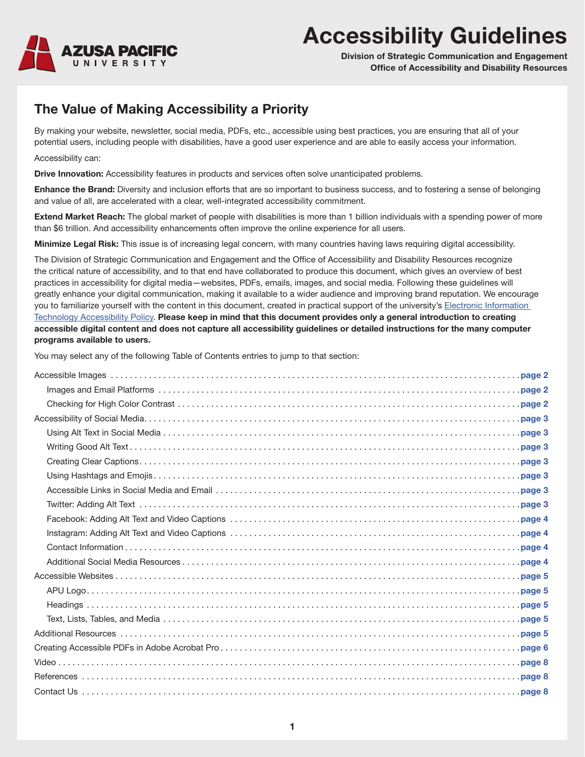

# **Accessibility Guidelines**

**Division of Strategic Communication and Engagement Office of Accessibility and Disability Resources**

### **The Value of Making Accessibility a Priority**

By making your website, newsletter, social media, PDFs, etc., accessible using best practices, you are ensuring that all of your potential users, including people with disabilities, have a good user experience and are able to easily access your information.

Accessibility can:

**Drive Innovation:** Accessibility features in products and services often solve unanticipated problems.

**Enhance the Brand:** Diversity and inclusion efforts that are so important to business success, and to fostering a sense of belonging and value of all, are accelerated with a clear, well-integrated accessibility commitment.

**Extend Market Reach:** The global market of people with disabilities is more than 1 billion individuals with a spending power of more than \$6 trillion. And accessibility enhancements often improve the online experience for all users.

**Minimize Legal Risk:** This issue is of increasing legal concern, with many countries having laws requiring digital accessibility.

The Division of Strategic Communication and Engagement and the Office of Accessibility and Disability Resources recognize the critical nature of accessibility, and to that end have collaborated to produce this document, which gives an overview of best practices in accessibility for digital media—websites, PDFs, emails, images, and social media. Following these guidelines will greatly enhance your digital communication, making it available to a wider audience and improving brand reputation. We encourage you to familiarize yourself with the content in this document, created in practical support of the university's Electronic Information [Technology Accessibility Policy]( https://www.apu.edu/generalcounsel/policies/list/). **Please keep in mind that this document provides only a general introduction to creating accessible digital content and does not capture all accessibility guidelines or detailed instructions for the many computer programs available to users.**

You may select any of the following Table of Contents entries to jump to that section: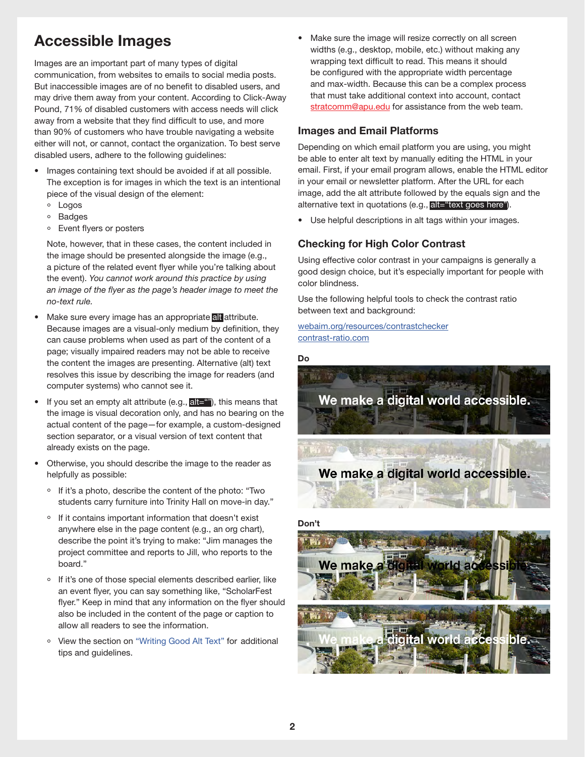### <span id="page-1-0"></span>**Accessible Images**

Images are an important part of many types of digital communication, from websites to emails to social media posts. But inaccessible images are of no benefit to disabled users, and may drive them away from your content. According to Click-Away Pound, 71% of disabled customers with access needs will click away from a website that they find difficult to use, and more than 90% of customers who have trouble navigating a website either will not, or cannot, contact the organization. To best serve disabled users, adhere to the following guidelines:

- Images containing text should be avoided if at all possible. The exception is for images in which the text is an intentional piece of the visual design of the element:
	- ° Logos
	- ° Badges
	- ° Event flyers or posters

Note, however, that in these cases, the content included in the image should be presented alongside the image (e.g., a picture of the related event flyer while you're talking about the event). *You cannot work around this practice by using an image of the flyer as the page's header image to meet the no-text rule.*

- Make sure every image has an appropriate all attribute. Because images are a visual-only medium by definition, they can cause problems when used as part of the content of a page; visually impaired readers may not be able to receive the content the images are presenting. Alternative (alt) text resolves this issue by describing the image for readers (and computer systems) who cannot see it.
- If you set an empty alt attribute (e.g.,  $\text{alt} = \text{m}$ ), this means that the image is visual decoration only, and has no bearing on the actual content of the page—for example, a custom-designed section separator, or a visual version of text content that already exists on the page.
- Otherwise, you should describe the image to the reader as helpfully as possible:
	- ° If it's a photo, describe the content of the photo: "Two students carry furniture into Trinity Hall on move-in day."
	- ° If it contains important information that doesn't exist anywhere else in the page content (e.g., an org chart), describe the point it's trying to make: "Jim manages the project committee and reports to Jill, who reports to the board."
	- ° If it's one of those special elements described earlier, like an event flyer, you can say something like, "ScholarFest flyer." Keep in mind that any information on the flyer should also be included in the content of the page or caption to allow all readers to see the information.
	- ° View the section on ["Writing Good Alt Text"](#page-2-2) for additional tips and guidelines.

Make sure the image will resize correctly on all screen widths (e.g., desktop, mobile, etc.) without making any wrapping text difficult to read. This means it should be configured with the appropriate width percentage and max-width. Because this can be a complex process that must take additional context into account, contact [stratcomm@apu.edu](mailto:stratcomm%40apu.edu?subject=) for assistance from the web team.

#### <span id="page-1-1"></span>**Images and Email Platforms**

Depending on which email platform you are using, you might be able to enter alt text by manually editing the HTML in your email. First, if your email program allows, enable the HTML editor in your email or newsletter platform. After the URL for each image, add the alt attribute followed by the equals sign and the alternative text in quotations (e.g., alt="text goes here").

• Use helpful descriptions in alt tags within your images.

#### <span id="page-1-2"></span>**Checking for High Color Contrast**

Using effective color contrast in your campaigns is generally a good design choice, but it's especially important for people with color blindness.

Use the following helpful tools to check the contrast ratio between text and background:

#### [webaim.org/resources/contrastchecker](http://webaim.org/resources/contrastchecker) [contrast-ratio.com](http://contrast-ratio.com )

**Do**



#### **Don't**

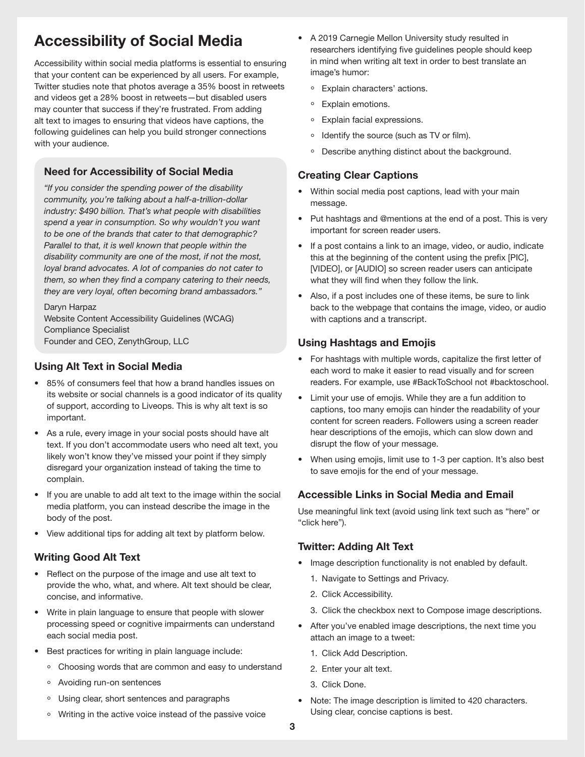### <span id="page-2-0"></span>**Accessibility of Social Media**

Accessibility within social media platforms is essential to ensuring that your content can be experienced by all users. For example, Twitter studies note that photos average a 35% boost in retweets and videos get a 28% boost in retweets—but disabled users may counter that success if they're frustrated. From adding alt text to images to ensuring that videos have captions, the following guidelines can help you build stronger connections with your audience.

### **Need for Accessibility of Social Media**

*"If you consider the spending power of the disability community, you're talking about a half-a-trillion-dollar industry: \$490 billion. That's what people with disabilities spend a year in consumption. So why wouldn't you want to be one of the brands that cater to that demographic? Parallel to that, it is well known that people within the disability community are one of the most, if not the most, loyal brand advocates. A lot of companies do not cater to them, so when they find a company catering to their needs, they are very loyal, often becoming brand ambassadors."*

Daryn Harpaz Website Content Accessibility Guidelines (WCAG) Compliance Specialist Founder and CEO, ZenythGroup, LLC

### <span id="page-2-1"></span>**Using Alt Text in Social Media**

- 85% of consumers feel that how a brand handles issues on its website or social channels is a good indicator of its quality of support, according to Liveops. This is why alt text is so important.
- As a rule, every image in your social posts should have alt text. If you don't accommodate users who need alt text, you likely won't know they've missed your point if they simply disregard your organization instead of taking the time to complain.
- If you are unable to add alt text to the image within the social media platform, you can instead describe the image in the body of the post.
- View additional tips for adding alt text by platform below.

### <span id="page-2-2"></span>**Writing Good Alt Text**

- Reflect on the purpose of the image and use alt text to provide the who, what, and where. Alt text should be clear, concise, and informative.
- Write in plain language to ensure that people with slower processing speed or cognitive impairments can understand each social media post.
- Best practices for writing in plain language include:
	- ° Choosing words that are common and easy to understand
	- ° Avoiding run-on sentences
	- ° Using clear, short sentences and paragraphs
	- ° Writing in the active voice instead of the passive voice
- A 2019 Carnegie Mellon University study resulted in researchers identifying five guidelines people should keep in mind when writing alt text in order to best translate an image's humor:
	- ° Explain characters' actions.
	- ° Explain emotions.
	- ° Explain facial expressions.
	- ° Identify the source (such as TV or film).
	- ° Describe anything distinct about the background.

### <span id="page-2-3"></span>**Creating Clear Captions**

- Within social media post captions, lead with your main message.
- Put hashtags and @mentions at the end of a post. This is very important for screen reader users.
- If a post contains a link to an image, video, or audio, indicate this at the beginning of the content using the prefix [PIC], [VIDEO], or [AUDIO] so screen reader users can anticipate what they will find when they follow the link.
- Also, if a post includes one of these items, be sure to link back to the webpage that contains the image, video, or audio with captions and a transcript.

### <span id="page-2-4"></span>**Using Hashtags and Emojis**

- For hashtags with multiple words, capitalize the first letter of each word to make it easier to read visually and for screen readers. For example, use #BackToSchool not #backtoschool.
- Limit your use of emojis. While they are a fun addition to captions, too many emojis can hinder the readability of your content for screen readers. Followers using a screen reader hear descriptions of the emojis, which can slow down and disrupt the flow of your message.
- When using emojis, limit use to 1-3 per caption. It's also best to save emojis for the end of your message.

### <span id="page-2-5"></span>**Accessible Links in Social Media and Email**

Use meaningful link text (avoid using link text such as "here" or "click here").

#### <span id="page-2-6"></span>**Twitter: Adding Alt Text**

- Image description functionality is not enabled by default.
	- 1. Navigate to Settings and Privacy.
	- 2. Click Accessibility.
	- 3. Click the checkbox next to Compose image descriptions.
- After you've enabled image descriptions, the next time you attach an image to a tweet:
	- 1. Click Add Description.
	- 2. Enter your alt text.
	- 3. Click Done.
- Note: The image description is limited to 420 characters. Using clear, concise captions is best.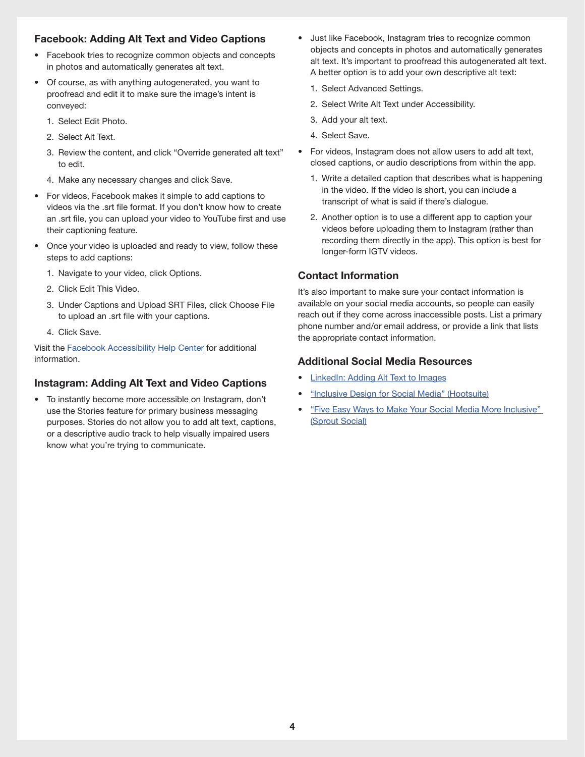#### <span id="page-3-0"></span>**Facebook: Adding Alt Text and Video Captions**

- Facebook tries to recognize common objects and concepts in photos and automatically generates alt text.
- Of course, as with anything autogenerated, you want to proofread and edit it to make sure the image's intent is conveyed:
	- 1. Select Edit Photo.
	- 2. Select Alt Text.
	- 3. Review the content, and click "Override generated alt text" to edit.
	- 4. Make any necessary changes and click Save.
- For videos, Facebook makes it simple to add captions to videos via the .srt file format. If you don't know how to create an .srt file, you can upload your video to YouTube first and use their captioning feature.
- Once your video is uploaded and ready to view, follow these steps to add captions:
	- 1. Navigate to your video, click Options.
	- 2. Click Edit This Video.
	- 3. Under Captions and Upload SRT Files, click Choose File to upload an .srt file with your captions.
	- 4. Click Save.

Visit the [Facebook Accessibility Help Center](https://www.facebook.com/help/accessibility) for additional information.

### <span id="page-3-1"></span>**Instagram: Adding Alt Text and Video Captions**

• To instantly become more accessible on Instagram, don't use the Stories feature for primary business messaging purposes. Stories do not allow you to add alt text, captions, or a descriptive audio track to help visually impaired users know what you're trying to communicate.

- Just like Facebook, Instagram tries to recognize common objects and concepts in photos and automatically generates alt text. It's important to proofread this autogenerated alt text. A better option is to add your own descriptive alt text:
	- 1. Select Advanced Settings.
	- 2. Select Write Alt Text under Accessibility.
	- 3. Add your alt text.
	- 4. Select Save.
- For videos, Instagram does not allow users to add alt text, closed captions, or audio descriptions from within the app.
	- 1. Write a detailed caption that describes what is happening in the video. If the video is short, you can include a transcript of what is said if there's dialogue.
	- 2. Another option is to use a different app to caption your videos before uploading them to Instagram (rather than recording them directly in the app). This option is best for longer-form IGTV videos.

#### <span id="page-3-2"></span>**Contact Information**

It's also important to make sure your contact information is available on your social media accounts, so people can easily reach out if they come across inaccessible posts. List a primary phone number and/or email address, or provide a link that lists the appropriate contact information.

#### <span id="page-3-3"></span>**Additional Social Media Resources**

- [LinkedIn: Adding Alt Text to Images](https://www.linkedin.com/help/linkedin/answer/109799/adding-alternative-text-to-images-for-accessibility?lang=en)
- ["Inclusive Design for Social Media" \(Hootsuite\)](https://blog.hootsuite.com/inclusive-design-social-media/)
- ["Five Easy Ways to Make Your Social Media More Inclusive"](https://sproutsocial.com/insights/social-media-accessibility/)  [\(Sprout Social\)](https://sproutsocial.com/insights/social-media-accessibility/)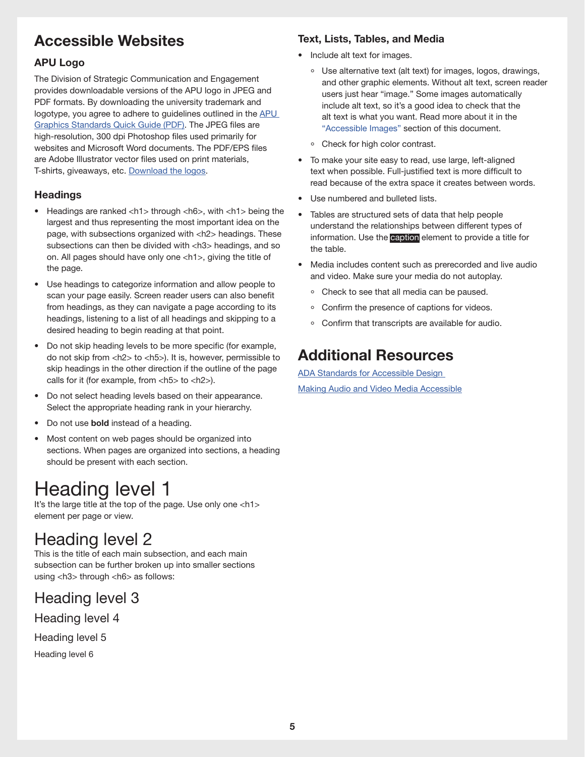## <span id="page-4-0"></span>**Accessible Websites**

### <span id="page-4-1"></span>**APU Logo**

The Division of Strategic Communication and Engagement provides downloadable versions of the APU logo in JPEG and PDF formats. By downloading the university trademark and logotype, you agree to adhere to guidelines outlined in the **APU** [Graphics Standards Quick Guide \(PDF\)](https://www-edits.apu.edu/static/src/sites/universityrelations/downloads/graphics_standards_quick_guide.pdf). The JPEG files are high-resolution, 300 dpi Photoshop files used primarily for websites and Microsoft Word documents. The PDF/EPS files are Adobe Illustrator vector files used on print materials, T-shirts, giveaways, etc. [Download the logos](https://www.apu.edu/universityrelations/standards/design/).

### <span id="page-4-2"></span>**Headings**

- Headings are ranked <h1> through <h6>, with <h1> being the largest and thus representing the most important idea on the page, with subsections organized with <h2> headings. These subsections can then be divided with <h3> headings, and so on. All pages should have only one <h1>, giving the title of the page.
- Use headings to categorize information and allow people to scan your page easily. Screen reader users can also benefit from headings, as they can navigate a page according to its headings, listening to a list of all headings and skipping to a desired heading to begin reading at that point.
- Do not skip heading levels to be more specific (for example, do not skip from <h2> to <h5>). It is, however, permissible to skip headings in the other direction if the outline of the page calls for it (for example, from  $\langle$ h5 $>$  to  $\langle$ h2 $>$ ).
- Do not select heading levels based on their appearance. Select the appropriate heading rank in your hierarchy.
- Do not use **bold** instead of a heading.
- Most content on web pages should be organized into sections. When pages are organized into sections, a heading should be present with each section.

# Heading level 1

It's the large title at the top of the page. Use only one <h1> element per page or view.

# Heading level 2

This is the title of each main subsection, and each main subsection can be further broken up into smaller sections using <h3> through <h6> as follows:

### Heading level 3

Heading level 4

Heading level 5

Heading level 6

### <span id="page-4-3"></span>**Text, Lists, Tables, and Media**

- Include alt text for images.
	- ° Use alternative text (alt text) for images, logos, drawings, and other graphic elements. Without alt text, screen reader users just hear "image." Some images automatically include alt text, so it's a good idea to check that the alt text is what you want. Read more about it in the "[Accessible Images](#page-1-0)" section of this document.
	- ° Check for high color contrast.
- To make your site easy to read, use large, left-aligned text when possible. Full-justified text is more difficult to read because of the extra space it creates between words.
- Use numbered and bulleted lists.
- Tables are structured sets of data that help people understand the relationships between different types of information. Use the **caption** element to provide a title for the table.
- Media includes content such as prerecorded and live audio and video. Make sure your media do not autoplay.
	- ° Check to see that all media can be paused.
	- ° Confirm the presence of captions for videos.
	- ° Confirm that transcripts are available for audio.

## <span id="page-4-4"></span>**Additional Resources**

[ADA Standards for Accessible Design](https://www.ada.gov/2010ADAstandards_index.htm)  [Making Audio and Video Media Accessible](https://www.w3.org/WAI/media/av/)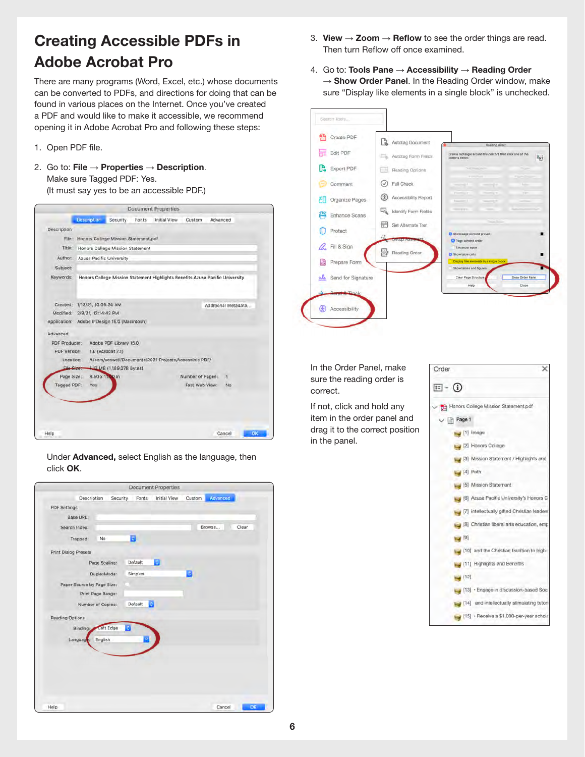## <span id="page-5-0"></span>**Creating Accessible PDFs in Adobe Acrobat Pro**

There are many programs (Word, Excel, etc.) whose documents can be converted to PDFs, and directions for doing that can be found in various places on the Internet. Once you've created a PDF and would like to make it accessible, we recommend opening it in Adobe Acrobat Pro and following these steps:

- 1. Open PDF file.
- 2. Go to: **File** → **Properties** → **Description**. Make sure Tagged PDF: Yes.

(It must say yes to be an accessible PDF.)

|                    |                                              |                                      |       | <b>Document Properties</b>                             |                  |                                                                               |  |  |
|--------------------|----------------------------------------------|--------------------------------------|-------|--------------------------------------------------------|------------------|-------------------------------------------------------------------------------|--|--|
|                    | Description                                  | <b>Security</b>                      | Fants | Initial View                                           | Custom           | Advanced                                                                      |  |  |
| <b>Description</b> |                                              |                                      |       |                                                        |                  |                                                                               |  |  |
| File:              |                                              | Honors College Mission Statement.pdf |       |                                                        |                  |                                                                               |  |  |
| Title:             |                                              | Honors College Mission Statement     |       |                                                        |                  |                                                                               |  |  |
| Author:            | <b>Azusa Pacific University</b>              |                                      |       |                                                        |                  |                                                                               |  |  |
| Subject:           |                                              |                                      |       |                                                        |                  |                                                                               |  |  |
| Keywords:          |                                              |                                      |       |                                                        |                  | Honors College Mission Statement Highlights Benefits Azusa Pacific University |  |  |
|                    |                                              |                                      |       |                                                        |                  |                                                                               |  |  |
|                    |                                              |                                      |       |                                                        |                  |                                                                               |  |  |
| Created:           | 1/13/21, 10:06:24 AM<br>Additional Metadata  |                                      |       |                                                        |                  |                                                                               |  |  |
| Modified:          | 2/9/21, 12:14:42 PM                          |                                      |       |                                                        |                  |                                                                               |  |  |
|                    | Application: Adobe InDesign 15.0 (Macintosh) |                                      |       |                                                        |                  |                                                                               |  |  |
| Advanced           |                                              |                                      |       |                                                        |                  |                                                                               |  |  |
| PDF Producer:      |                                              | Adobe PDF Library 15.0               |       |                                                        |                  |                                                                               |  |  |
| PDF Version:       |                                              | $1.6$ (Acrobat $7.x$ )               |       |                                                        |                  |                                                                               |  |  |
| Location:          |                                              |                                      |       | /Users/scowell/Documents/2021 Projects/Accessible PDF/ |                  |                                                                               |  |  |
| <b>Elle Sizer</b>  |                                              | 4.13 MB (1,189,078 Bytes)            |       |                                                        |                  |                                                                               |  |  |
| Page Size:         | 8.50 x 11.00 in                              |                                      |       |                                                        | Number of Pages: | 4                                                                             |  |  |
| Tagged PDF:        | Yes -                                        |                                      |       |                                                        | Fast Web View:   | No.                                                                           |  |  |
|                    |                                              |                                      |       |                                                        |                  |                                                                               |  |  |
|                    |                                              |                                      |       |                                                        |                  |                                                                               |  |  |
|                    |                                              |                                      |       |                                                        |                  |                                                                               |  |  |
|                    |                                              |                                      |       |                                                        |                  |                                                                               |  |  |
|                    |                                              |                                      |       |                                                        |                  |                                                                               |  |  |
| Help               |                                              |                                      |       |                                                        |                  | OK<br>Cancel                                                                  |  |  |

Under **Advanced,** select English as the language, then click **OK**.

|                             |                   |         | <b>Document Properties</b> |        |                 |    |
|-----------------------------|-------------------|---------|----------------------------|--------|-----------------|----|
| Description                 | Security          | Fonts   | Initial View               | Custom | Advanced        |    |
| <b>PDF Settings</b>         |                   |         |                            |        |                 |    |
| <b>Base URL:</b>            |                   |         |                            |        |                 |    |
| Search Index:               |                   |         |                            |        | Browse<br>Clear |    |
| Trapped:                    | No                | в       |                            |        |                 |    |
| <b>Print Dialog Presets</b> |                   |         |                            |        |                 |    |
|                             | Page Scaling:     | Default | B                          |        |                 |    |
|                             | DuplexMode:       | Simplex |                            | в      |                 |    |
| Paper Source by Page Size:  |                   |         |                            |        |                 |    |
|                             | Print Page Range: |         |                            |        |                 |    |
|                             | Number of Copies: | Default | B                          |        |                 |    |
| <b>Reading Options</b>      |                   |         |                            |        |                 |    |
| Binding:                    | Left Edge         | ō       |                            |        |                 |    |
| Language                    | English           |         |                            |        |                 |    |
|                             |                   |         |                            |        |                 |    |
|                             |                   |         |                            |        |                 |    |
|                             |                   |         |                            |        |                 |    |
|                             |                   |         |                            |        |                 |    |
|                             |                   |         |                            |        |                 |    |
|                             |                   |         |                            |        |                 |    |
| Help                        |                   |         |                            |        | Cancel          | OK |

- 3. **View** → **Zoom** → **Reflow** to see the order things are read. Then turn Reflow off once examined.
- 4. Go to: **Tools Pane** → **Accessibility** → **Reading Order**  → **Show Order Panel**. In the Reading Order window, make sure "Display like elements in a single block" is unchecked.



In the Order Panel, make sure the reading order is correct.

If not, click and hold any item in the order panel and drag it to the correct position in the panel.

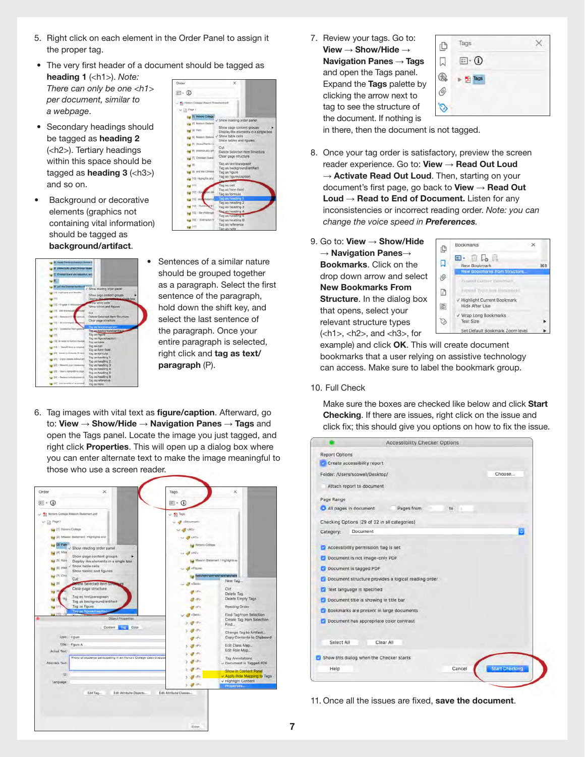- 5. Right click on each element in the Order Panel to assign it the proper tag.
- The very first header of a document should be tagged as **heading 1** (<h1>). *Note: There can only be one <h1>*   $\Xi$  -  $\Omega$ *per document, similar to*
- Secondary headings should be tagged as **heading 2**  (<h2>). Tertiary headings within this space should be tagged as **heading 3** (<h3>) and so on.

*a webpage*.

Background or decorative elements (graphics not containing vital information) should be tagged as **background/artifact**.



- $\frac{1}{2}$  (1000s)  $\sim$  In  $^{\circ}$ by PLHA Show page content groups<br>Display like elements in a si **Bay Dit Plan** table cells<br>tables and figures sg (5) 5 sy in An ag in the  $400$ Tag as text/paragraph<br>Tag as background/artifact sy it **NY (10) Fig June (111)**
- Sentences of a similar nature should be grouped together as a paragraph. Select the first sentence of the paragraph, hold down the shift key, and select the last sentence of the paragraph. Once your entire paragraph is selected, right click and **tag as text/ paragraph** (P).
- 6. Tag images with vital text as **figure/caption**. Afterward, go to: **View** → **Show/Hide** → **Navigation Panes** → **Tags** and open the Tags panel. Locate the image you just tagged, and right click **Properties**. This will open up a dialog box where you can enter alternate text to make the image meaningful to those who use a screen reader.



7. Review your tags. Go to: **View** → **Show/Hide** → **Navigation Panes** → **Tags** and open the Tags panel. Expand the **Tags** palette by clicking the arrow next to tag to see the structure of the document. If nothing is



in there, then the document is not tagged.

- 8. Once your tag order is satisfactory, preview the screen reader experience. Go to: **View** → **Read Out Loud** → **Activate Read Out Loud**. Then, starting on your document's first page, go back to **View** → **Read Out Loud** → **Read to End of Document.** Listen for any inconsistencies or incorrect reading order. *Note: you can change the voice speed in Preferences.*
- 9. Go to: **View → Show/Hide** → **Navigation Panes**→ **Bookmarks**. Click on the drop down arrow and select **New Bookmarks From Structure**. In the dialog box that opens, select your relevant structure types  $(**h1**$ , **, and**  $**h3**$ **, for**



example) and click **OK**. This will create document bookmarks that a user relying on assistive technology can access. Make sure to label the bookmark group.

#### 10. Full Check

 Make sure the boxes are checked like below and click **Start Checking**. If there are issues, right click on the issue and click fix; this should give you options on how to fix the issue.

|                                                                                                                                                                                                                                                                                           | <b>Accessibility Checker Options</b>                |                                 |
|-------------------------------------------------------------------------------------------------------------------------------------------------------------------------------------------------------------------------------------------------------------------------------------------|-----------------------------------------------------|---------------------------------|
| <b>Report Options</b>                                                                                                                                                                                                                                                                     |                                                     |                                 |
| Create accessibility report                                                                                                                                                                                                                                                               |                                                     |                                 |
| Folder: /Users/scowell/Desktop/                                                                                                                                                                                                                                                           |                                                     | Choose                          |
| Attach report to document                                                                                                                                                                                                                                                                 |                                                     |                                 |
| Page Range                                                                                                                                                                                                                                                                                |                                                     |                                 |
| All pages in document                                                                                                                                                                                                                                                                     | Pages from<br>IO.                                   |                                 |
| Checking Options (29 of 32 in all categories)                                                                                                                                                                                                                                             |                                                     |                                 |
| Document<br>Category:                                                                                                                                                                                                                                                                     |                                                     |                                 |
| Accessibility permission flag is set<br>z<br>Document is not image-only PDF<br>m<br>Document is tagged PDF<br><b>Text language is specified</b><br>Document title is showing in title bar<br><b>2</b> Bookmarks are present in large documents<br>Document has appropriate color contrast | Document structure provides a logical reading order |                                 |
| Select All<br>Show this dialog when the Checker starts                                                                                                                                                                                                                                    | Clear All                                           |                                 |
| Help                                                                                                                                                                                                                                                                                      |                                                     | <b>Start Chocking</b><br>Cancel |

11. Once all the issues are fixed, **save the document**.